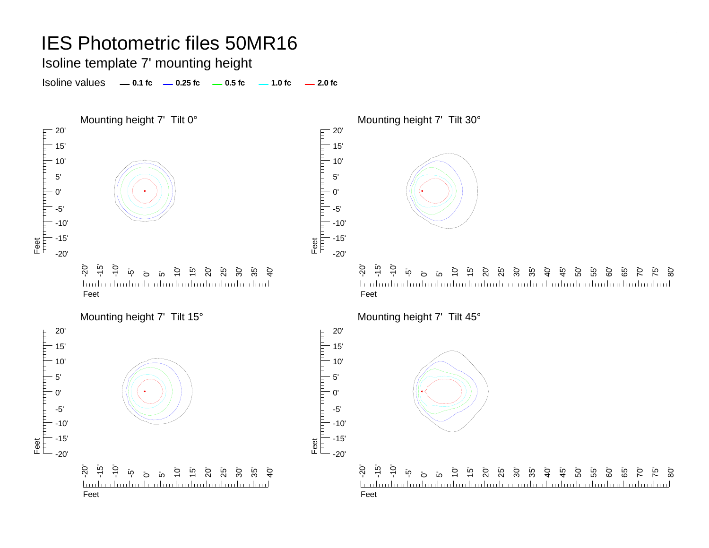Isoline template 7' mounting height

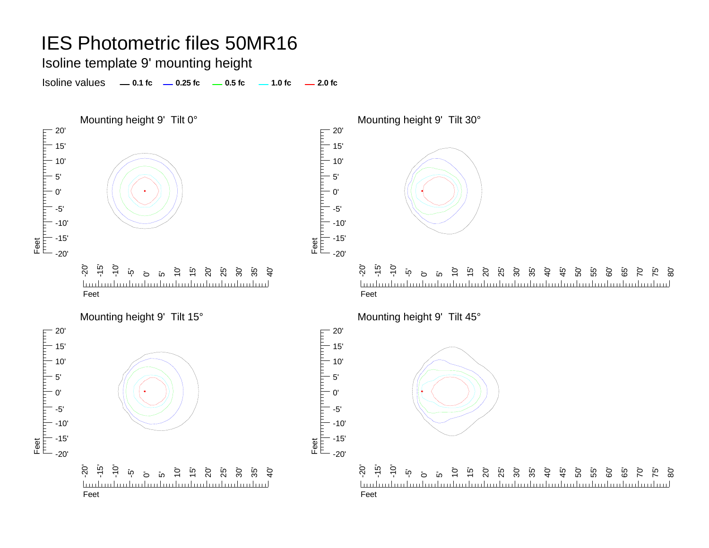Isoline template 9' mounting height

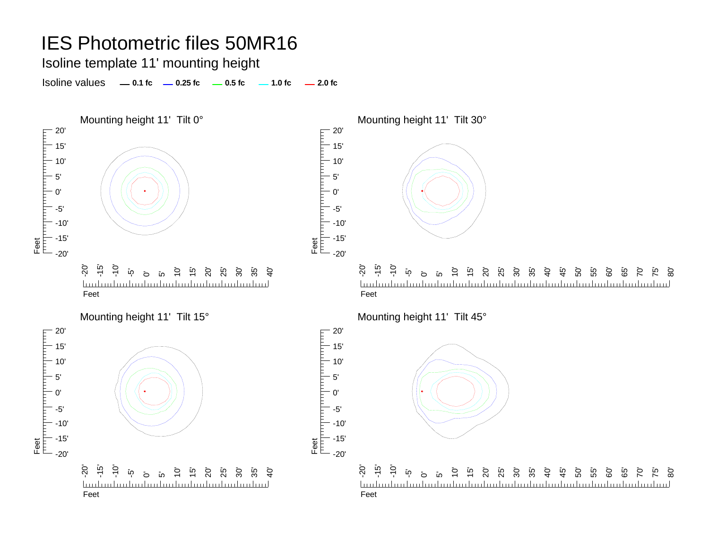Isoline template 11' mounting height

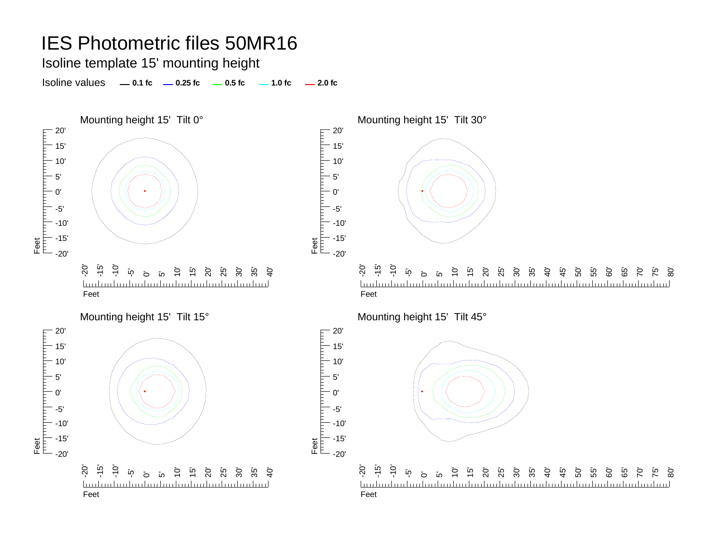Isoline template 15' mounting height

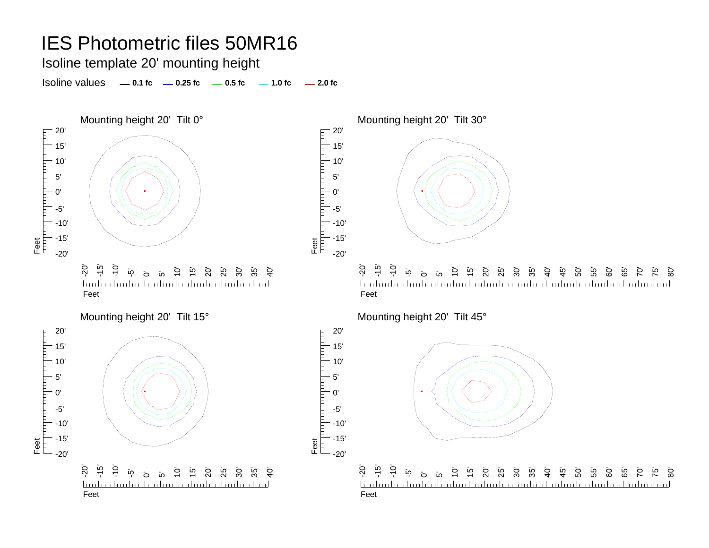Isoline template 20' mounting height

Isoline values **0.1 fc 0.25 fc 0.5 fc 2.0 fc 1.0 fc**



40' 45' 50' 55' 60' 65' 80' 70' 75' mdundundundundundundundundundundun

45'

50' 55'

60' ت<br>65  $\overline{C}$ 75' ි<br>80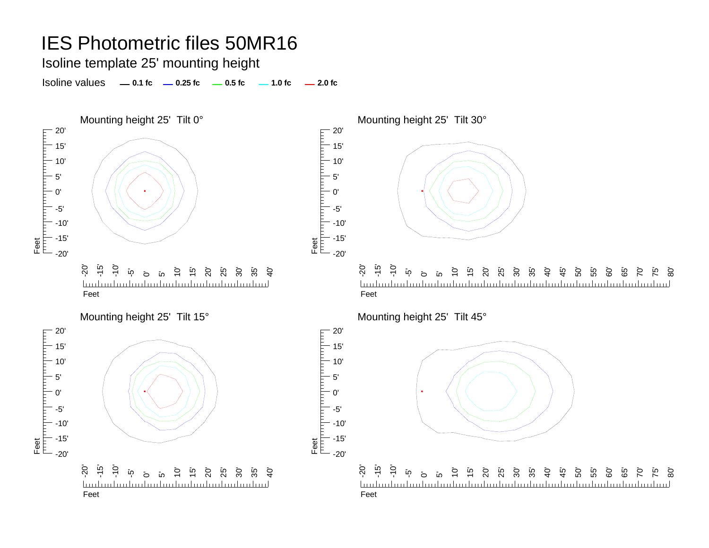Isoline template 25' mounting height

Isoline values **0.1 fc 0.25 fc 0.5 fc 2.0 fc 1.0 fc**





Feet<br>|<sup>|||||</sup>|<sup>|||||||||</sup>||

20' 15' 10' 5' 0'

-5'  $-10$ -15'  $-20'$